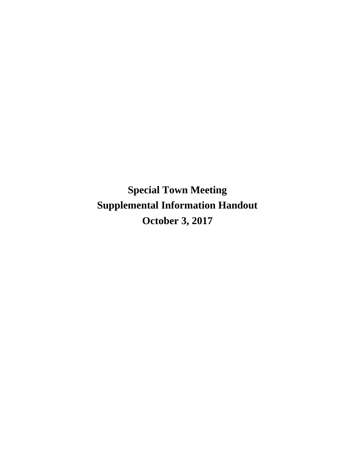**Special Town Meeting Supplemental Information Handout October 3, 2017**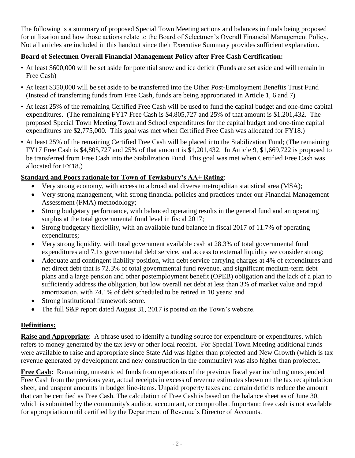The following is a summary of proposed Special Town Meeting actions and balances in funds being proposed for utilization and how those actions relate to the Board of Selectmen's Overall Financial Management Policy. Not all articles are included in this handout since their Executive Summary provides sufficient explanation.

# **Board of Selectmen Overall Financial Management Policy after Free Cash Certification:**

- At least \$600,000 will be set aside for potential snow and ice deficit (Funds are set aside and will remain in Free Cash)
- At least \$350,000 will be set aside to be transferred into the Other Post-Employment Benefits Trust Fund (Instead of transferring funds from Free Cash, funds are being appropriated in Article 1, 6 and 7)
- At least 25% of the remaining Certified Free Cash will be used to fund the capital budget and one-time capital expenditures. (The remaining FY17 Free Cash is \$4,805,727 and 25% of that amount is \$1,201,432. The proposed Special Town Meeting Town and School expenditures for the capital budget and one-time capital expenditures are \$2,775,000. This goal was met when Certified Free Cash was allocated for FY18.)
- At least 25% of the remaining Certified Free Cash will be placed into the Stabilization Fund; (The remaining FY17 Free Cash is \$4,805,727 and 25% of that amount is \$1,201,432. In Article 9, \$1,669,722 is proposed to be transferred from Free Cash into the Stabilization Fund. This goal was met when Certified Free Cash was allocated for FY18.)

# **Standard and Poors rationale for Town of Tewksbury's AA+ Rating**:

- Very strong economy, with access to a broad and diverse metropolitan statistical area (MSA);
- Very strong management, with strong financial policies and practices under our Financial Management Assessment (FMA) methodology;
- Strong budgetary performance, with balanced operating results in the general fund and an operating surplus at the total governmental fund level in fiscal 2017;
- Strong budgetary flexibility, with an available fund balance in fiscal 2017 of 11.7% of operating expenditures;
- Very strong liquidity, with total government available cash at 28.3% of total governmental fund expenditures and 7.1x governmental debt service, and access to external liquidity we consider strong;
- Adequate and contingent liability position, with debt service carrying charges at 4% of expenditures and net direct debt that is 72.3% of total governmental fund revenue, and significant medium-term debt plans and a large pension and other postemployment benefit (OPEB) obligation and the lack of a plan to sufficiently address the obligation, but low overall net debt at less than 3% of market value and rapid amortization, with 74.1% of debt scheduled to be retired in 10 years; and
- Strong institutional framework score.
- The full S&P report dated August 31, 2017 is posted on the Town's website.

# **Definitions:**

**Raise and Appropriate:** A phrase used to identify a funding source for expenditure or expenditures, which refers to money generated by the tax levy or other local receipt. For Special Town Meeting additional funds were available to raise and appropriate since State Aid was higher than projected and New Growth (which is tax revenue generated by development and new construction in the community) was also higher than projected.

**Free Cash:** Remaining, unrestricted funds from operations of the previous fiscal year including unexpended Free Cash from the previous year, actual receipts in excess of revenue estimates shown on the tax recapitulation sheet, and unspent amounts in budget line-items. Unpaid property taxes and certain deficits reduce the amount that can be certified as Free Cash. The calculation of Free Cash is based on the balance sheet as of June 30, which is submitted by the community's auditor, accountant, or comptroller. Important: free cash is not available for appropriation until certified by the Department of Revenue's Director of Accounts.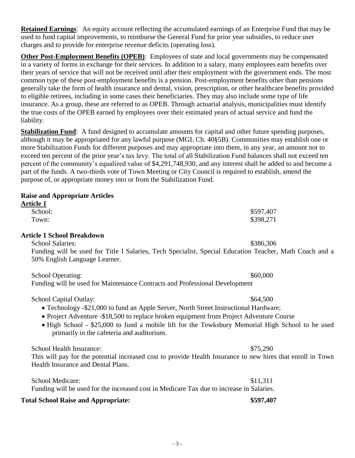**Retained Earnings**: An equity account reflecting the accumulated earnings of an Enterprise Fund that may be used to fund capital improvements, to reimburse the General Fund for prior year subsidies, to reduce user charges and to provide for enterprise revenue deficits (operating loss).

**Other Post-Employment Benefits (OPEB)**: Employees of state and local governments may be compensated in a variety of forms in exchange for their services. In addition to a salary, many employees earn benefits over their years of service that will not be received until after their employment with the government ends. The most common type of these post-employment benefits is a pension. Post-employment benefits other than pensions generally take the form of health insurance and dental, vision, prescription, or other healthcare benefits provided to eligible retirees, including in some cases their beneficiaries. They may also include some type of life insurance. As a group, these are referred to as OPEB. Through actuarial analysis, municipalities must identify the true costs of the OPEB earned by employees over their estimated years of actual service and fund the liability.

**Stabilization Fund**: A fund designed to accumulate amounts for capital and other future spending purposes, although it may be appropriated for any lawful purpose (MGL Ch. 40§5B). Communities may establish one or more Stabilization Funds for different purposes and may appropriate into them, in any year, an amount not to exceed ten percent of the prior year's tax levy. The total of all Stabilization Fund balances shall not exceed ten percent of the community's equalized value of \$4,291,748,930, and any interest shall be added to and become a part of the funds. A two-thirds vote of Town Meeting or City Council is required to establish, amend the purpose of, or appropriate money into or from the Stabilization Fund.

# **Raise and Appropriate Articles**

| <b>Article 1</b>                                                                         |                                                                                                             |
|------------------------------------------------------------------------------------------|-------------------------------------------------------------------------------------------------------------|
| School:                                                                                  | \$597,407                                                                                                   |
| Town:                                                                                    | \$398,271                                                                                                   |
| <b>Article 1 School Breakdown</b>                                                        |                                                                                                             |
| <b>School Salaries:</b>                                                                  | \$386,306                                                                                                   |
| 50% English Language Learner.                                                            | Funding will be used for Title I Salaries, Tech Specialist, Special Education Teacher, Math Coach and a     |
| <b>School Operating:</b>                                                                 | \$60,000                                                                                                    |
| Funding will be used for Maintenance Contracts and Professional Development              |                                                                                                             |
| School Capital Outlay:                                                                   | \$64,500                                                                                                    |
|                                                                                          | • Technology -\$21,000 to fund an Apple Server, North Street Instructional Hardware;                        |
|                                                                                          | • Project Adventure -\$18,500 to replace broken equipment from Project Adventure Course                     |
| primarily in the cafeteria and auditorium.                                               | • High School - \$25,000 to fund a mobile lift for the Tewksbury Memorial High School to be used            |
| School Health Insurance:                                                                 | \$75,290                                                                                                    |
| Health Insurance and Dental Plans.                                                       | This will pay for the potential increased cost to provide Health Insurance to new hires that enroll in Town |
| School Medicare:                                                                         | \$11,311                                                                                                    |
| Funding will be used for the increased cost in Medicare Tax due to increase in Salaries. |                                                                                                             |

### **Total School Raise and Appropriate: \$597,407**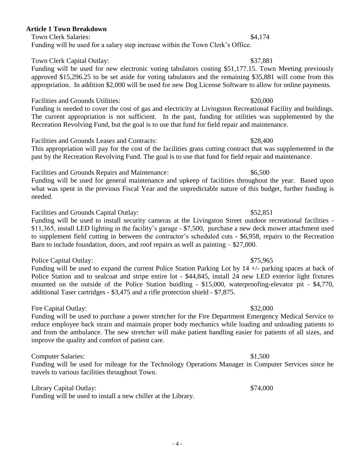## **Article 1 Town Breakdown**

Town Clerk Salaries: \$4,174

Funding will be used for a salary step increase within the Town Clerk's Office.

# Town Clerk Capital Outlay:  $$37,881$

Funding will be used for new electronic voting tabulators costing \$51,177.15. Town Meeting previously approved \$15,296.25 to be set aside for voting tabulators and the remaining \$35,881 will come from this appropriation. In addition \$2,000 will be used for new Dog License Software to allow for online payments.

## Facilities and Grounds Utilities:  $$20,000$

Funding is needed to cover the cost of gas and electricity at Livingston Recreational Facility and buildings. The current appropriation is not sufficient. In the past, funding for utilities was supplemented by the Recreation Revolving Fund, but the goal is to use that fund for field repair and maintenance.

Facilities and Grounds Leases and Contracts:  $$28,400$ 

This appropriation will pay for the cost of the facilities grass cutting contract that was supplemented in the past by the Recreation Revolving Fund. The goal is to use that fund for field repair and maintenance.

Facilities and Grounds Repairs and Maintenance: \$6,500

Funding will be used for general maintenance and upkeep of facilities throughout the year. Based upon what was spent in the previous Fiscal Year and the unpredictable nature of this budget, further funding is needed.

Facilities and Grounds Capital Outlay:  $$52,851$ 

Funding will be used to install security cameras at the Livingston Street outdoor recreational facilities - \$11,365, install LED lighting in the facility's garage - \$7,500, purchase a new deck mower attachment used to supplement field cutting in between the contractor's scheduled cuts - \$6,958, repairs to the Recreation Barn to include foundation, doors, and roof repairs as well as painting – \$27,000.

### Police Capital Outlay:  $$75,965$

Funding will be used to expand the current Police Station Parking Lot by 14 +/- parking spaces at back of Police Station and to sealcoat and stripe entire lot - \$44,845, install 24 new LED exterior light fixtures mounted on the outside of the Police Station buidling - \$15,000, waterproofing-elevator pit - \$4,770, additional Taser cartridges - \$3,475 and a rifle protection shield - \$7,875.

## Fire Capital Outlay:  $$32,000$

Funding will be used to purchase a power stretcher for the Fire Department Emergency Medical Service to reduce employee back strain and maintain proper body mechanics while loading and unloading patients to and from the ambulance. The new stretcher will make patient handling easier for patients of all sizes, and improve the quality and comfort of patient care.

### Computer Salaries: \$1,500

Funding will be used for mileage for the Technology Operations Manager in Computer Services since he travels to various facilities throughout Town.

Library Capital Outlay:  $$74,000$ 

Funding will be used to install a new chiller at the Library.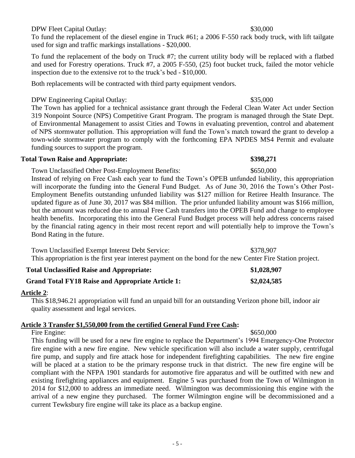### DPW Fleet Capital Outlay:  $$30,000$

To fund the replacement of the diesel engine in Truck #61; a 2006 F-550 rack body truck, with lift tailgate used for sign and traffic markings installations - \$20,000.

To fund the replacement of the body on Truck #7; the current utility body will be replaced with a flatbed and used for Forestry operations. Truck #7, a 2005 F-550, (25) foot bucket truck, failed the motor vehicle inspection due to the extensive rot to the truck's bed - \$10,000.

Both replacements will be contracted with third party equipment vendors.

## DPW Engineering Capital Outlay:  $$35,000$

The Town has applied for a technical assistance grant through the Federal Clean Water Act under Section 319 Nonpoint Source (NPS) Competitive Grant Program. The program is managed through the State Dept. of Environmental Management to assist Cities and Towns in evaluating prevention, control and abatement of NPS stormwater pollution. This appropriation will fund the Town's match toward the grant to develop a town-wide stormwater program to comply with the forthcoming EPA NPDES MS4 Permit and evaluate funding sources to support the program.

### **Total Town Raise and Appropriate: \$398,271**

Town Unclassified Other Post-Employment Benefits: \$650,000 Instead of relying on Free Cash each year to fund the Town's OPEB unfunded liability, this appropriation will incorporate the funding into the General Fund Budget. As of June 30, 2016 the Town's Other Post-Employment Benefits outstanding unfunded liability was \$127 million for Retiree Health Insurance. The updated figure as of June 30, 2017 was \$84 million. The prior unfunded liability amount was \$166 million, but the amount was reduced due to annual Free Cash transfers into the OPEB Fund and change to employee health benefits. Incorporating this into the General Fund Budget process will help address concerns raised by the financial rating agency in their most recent report and will potentially help to improve the Town's Bond Rating in the future.

Town Unclassified Exempt Interest Debt Service: \$378,907 This appropriation is the first year interest payment on the bond for the new Center Fire Station project.

| <b>Total Unclassified Raise and Appropriate:</b>  | \$1,028,907 |
|---------------------------------------------------|-------------|
| Grand Total FY18 Raise and Appropriate Article 1: | \$2,024,585 |

### **Article 2**:

This \$18,946.21 appropriation will fund an unpaid bill for an outstanding Verizon phone bill, indoor air quality assessment and legal services.

### **Article 3 Transfer \$1,550,000 from the certified General Fund Free Cash:**

Fire Engine: \$650,000 This funding will be used for a new fire engine to replace the Department's 1994 Emergency-One Protector fire engine with a new fire engine. New vehicle specification will also include a water supply, centrifugal fire pump, and supply and fire attack hose for independent firefighting capabilities. The new fire engine will be placed at a station to be the primary response truck in that district. The new fire engine will be compliant with the NFPA 1901 standards for automotive fire apparatus and will be outfitted with new and existing firefighting appliances and equipment. Engine 5 was purchased from the Town of Wilmington in 2014 for \$12,000 to address an immediate need. Wilmington was decommissioning this engine with the arrival of a new engine they purchased. The former Wilmington engine will be decommissioned and a current Tewksbury fire engine will take its place as a backup engine.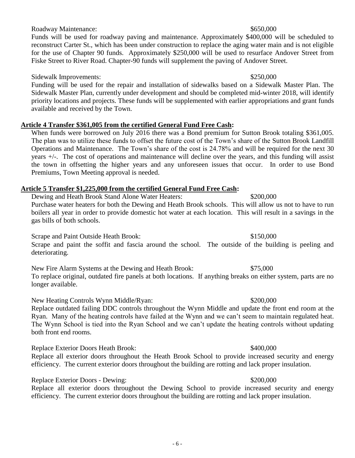# Roadway Maintenance:  $$650,000$

Funds will be used for roadway paving and maintenance. Approximately \$400,000 will be scheduled to reconstruct Carter St., which has been under construction to replace the aging water main and is not eligible for the use of Chapter 90 funds. Approximately \$250,000 will be used to resurface Andover Street from Fiske Street to River Road. Chapter-90 funds will supplement the paving of Andover Street.

### Sidewalk Improvements:  $$250,000$

Funding will be used for the repair and installation of sidewalks based on a Sidewalk Master Plan. The Sidewalk Master Plan, currently under development and should be completed mid-winter 2018, will identify priority locations and projects. These funds will be supplemented with earlier appropriations and grant funds available and received by the Town.

## **Article 4 Transfer \$361,005 from the certified General Fund Free Cash:**

When funds were borrowed on July 2016 there was a Bond premium for Sutton Brook totaling \$361,005. The plan was to utilize these funds to offset the future cost of the Town's share of the Sutton Brook Landfill Operations and Maintenance. The Town's share of the cost is 24.78% and will be required for the next 30 years +/-. The cost of operations and maintenance will decline over the years, and this funding will assist the town in offsetting the higher years and any unforeseen issues that occur. In order to use Bond Premiums, Town Meeting approval is needed.

## **Article 5 Transfer \$1,225,000 from the certified General Fund Free Cash:**

Dewing and Heath Brook Stand Alone Water Heaters: \$200,000 Purchase water heaters for both the Dewing and Heath Brook schools. This will allow us not to have to run boilers all year in order to provide domestic hot water at each location. This will result in a savings in the gas bills of both schools.

Scrape and Paint Outside Heath Brook:  $$150,000$ Scrape and paint the soffit and fascia around the school. The outside of the building is peeling and deteriorating.

New Fire Alarm Systems at the Dewing and Heath Brook: \$75,000 To replace original, outdated fire panels at both locations. If anything breaks on either system, parts are no longer available.

New Heating Controls Wynn Middle/Ryan: \$200,000

Replace outdated failing DDC controls throughout the Wynn Middle and update the front end room at the Ryan. Many of the heating controls have failed at the Wynn and we can't seem to maintain regulated heat. The Wynn School is tied into the Ryan School and we can't update the heating controls without updating both front end rooms.

Replace Exterior Doors Heath Brook: \$400,000

Replace all exterior doors throughout the Heath Brook School to provide increased security and energy efficiency. The current exterior doors throughout the building are rotting and lack proper insulation.

## Replace Exterior Doors - Dewing:  $$200,000$

Replace all exterior doors throughout the Dewing School to provide increased security and energy efficiency. The current exterior doors throughout the building are rotting and lack proper insulation.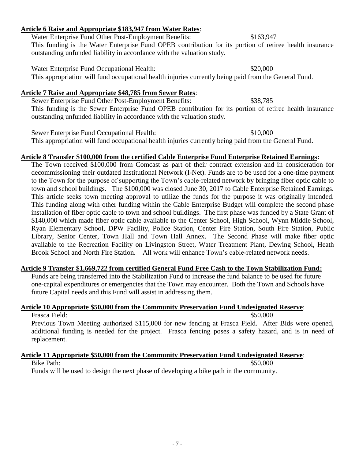# **Article 6 Raise and Appropriate \$183,947 from Water Rates**:

Water Enterprise Fund Other Post-Employment Benefits: \$163,947 This funding is the Water Enterprise Fund OPEB contribution for its portion of retiree health insurance outstanding unfunded liability in accordance with the valuation study.

Water Enterprise Fund Occupational Health:  $$20,000$ This appropriation will fund occupational health injuries currently being paid from the General Fund.

## **Article 7 Raise and Appropriate \$48,785 from Sewer Rates**:

Sewer Enterprise Fund Other Post-Employment Benefits: \$38,785 This funding is the Sewer Enterprise Fund OPEB contribution for its portion of retiree health insurance outstanding unfunded liability in accordance with the valuation study.

Sewer Enterprise Fund Occupational Health: \$10,000 This appropriation will fund occupational health injuries currently being paid from the General Fund.

### **Article 8 Transfer \$100,000 from the certified Cable Enterprise Fund Enterprise Retained Earnings:**

The Town received \$100,000 from Comcast as part of their contract extension and in consideration for decommissioning their outdated Institutional Network (I-Net). Funds are to be used for a one-time payment to the Town for the purpose of supporting the Town's cable-related network by bringing fiber optic cable to town and school buildings. The \$100,000 was closed June 30, 2017 to Cable Enterprise Retained Earnings. This article seeks town meeting approval to utilize the funds for the purpose it was originally intended. This funding along with other funding within the Cable Enterprise Budget will complete the second phase installation of fiber optic cable to town and school buildings. The first phase was funded by a State Grant of \$140,000 which made fiber optic cable available to the Center School, High School, Wynn Middle School, Ryan Elementary School, DPW Facility, Police Station, Center Fire Station, South Fire Station, Public Library, Senior Center, Town Hall and Town Hall Annex. The Second Phase will make fiber optic available to the Recreation Facility on Livingston Street, Water Treatment Plant, Dewing School, Heath Brook School and North Fire Station. All work will enhance Town's cable-related network needs.

## **Article 9 Transfer \$1,669,722 from certified General Fund Free Cash to the Town Stabilization Fund:**

Funds are being transferred into the Stabilization Fund to increase the fund balance to be used for future one-capital expenditures or emergencies that the Town may encounter. Both the Town and Schools have future Capital needs and this Fund will assist in addressing them.

## **Article 10 Appropriate \$50,000 from the Community Preservation Fund Undesignated Reserve**:

Frasca Field:  $$50,000$ Previous Town Meeting authorized \$115,000 for new fencing at Frasca Field. After Bids were opened, additional funding is needed for the project. Frasca fencing poses a safety hazard, and is in need of replacement.

### **Article 11 Appropriate \$50,000 from the Community Preservation Fund Undesignated Reserve**: Bike Path:  $$50,000$

Funds will be used to design the next phase of developing a bike path in the community.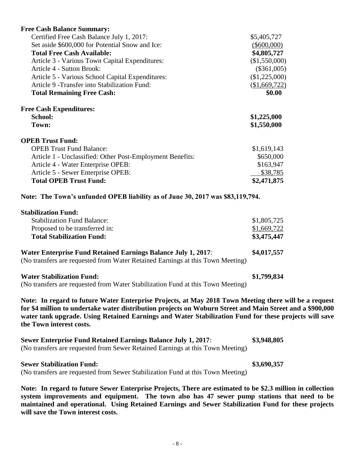| <b>Free Cash Balance Summary:</b>                                                                                                                                                                                                                                                                                                                       |               |
|---------------------------------------------------------------------------------------------------------------------------------------------------------------------------------------------------------------------------------------------------------------------------------------------------------------------------------------------------------|---------------|
| Certified Free Cash Balance July 1, 2017:                                                                                                                                                                                                                                                                                                               | \$5,405,727   |
| Set aside \$600,000 for Potential Snow and Ice:                                                                                                                                                                                                                                                                                                         | $(\$600,000)$ |
| <b>Total Free Cash Available:</b>                                                                                                                                                                                                                                                                                                                       | \$4,805,727   |
| Article 3 - Various Town Capital Expenditures:                                                                                                                                                                                                                                                                                                          | (\$1,550,000) |
| Article 4 - Sutton Brook:                                                                                                                                                                                                                                                                                                                               | $(\$361,005)$ |
| Article 5 - Various School Capital Expenditures:                                                                                                                                                                                                                                                                                                        | (\$1,225,000) |
| Article 9 - Transfer into Stabilization Fund:                                                                                                                                                                                                                                                                                                           | (\$1,669,722) |
| <b>Total Remaining Free Cash:</b>                                                                                                                                                                                                                                                                                                                       | \$0.00        |
| <b>Free Cash Expenditures:</b>                                                                                                                                                                                                                                                                                                                          |               |
| <b>School:</b>                                                                                                                                                                                                                                                                                                                                          | \$1,225,000   |
| Town:                                                                                                                                                                                                                                                                                                                                                   | \$1,550,000   |
| <b>OPEB Trust Fund:</b>                                                                                                                                                                                                                                                                                                                                 |               |
| <b>OPEB Trust Fund Balance:</b>                                                                                                                                                                                                                                                                                                                         | \$1,619,143   |
| Article 1 - Unclassified: Other Post-Employment Benefits:                                                                                                                                                                                                                                                                                               | \$650,000     |
| Article 4 - Water Enterprise OPEB:                                                                                                                                                                                                                                                                                                                      | \$163,947     |
| Article 5 - Sewer Enterprise OPEB:                                                                                                                                                                                                                                                                                                                      | \$38,785      |
| <b>Total OPEB Trust Fund:</b>                                                                                                                                                                                                                                                                                                                           | \$2,471,875   |
| Note: The Town's unfunded OPEB liability as of June 30, 2017 was \$83,119,794.                                                                                                                                                                                                                                                                          |               |
| <b>Stabilization Fund:</b>                                                                                                                                                                                                                                                                                                                              |               |
| <b>Stabilization Fund Balance:</b>                                                                                                                                                                                                                                                                                                                      | \$1,805,725   |
| Proposed to be transferred in:                                                                                                                                                                                                                                                                                                                          | \$1,669,722   |
| <b>Total Stabilization Fund:</b>                                                                                                                                                                                                                                                                                                                        | \$3,475,447   |
| <b>Water Enterprise Fund Retained Earnings Balance July 1, 2017:</b><br>(No transfers are requested from Water Retained Earnings at this Town Meeting)                                                                                                                                                                                                  | \$4,017,557   |
| <b>Water Stabilization Fund:</b>                                                                                                                                                                                                                                                                                                                        | \$1,799,834   |
| (No transfers are requested from Water Stabilization Fund at this Town Meeting)                                                                                                                                                                                                                                                                         |               |
| Note: In regard to future Water Enterprise Projects, at May 2018 Town Meeting there will be a request<br>for \$4 million to undertake water distribution projects on Woburn Street and Main Street and a \$900,000<br>water tank upgrade. Using Retained Earnings and Water Stabilization Fund for these projects will save<br>the Town interest costs. |               |
| <b>Sewer Enterprise Fund Retained Earnings Balance July 1, 2017:</b>                                                                                                                                                                                                                                                                                    | \$3,948,805   |

(No transfers are requested from Sewer Retained Earnings at this Town Meeting)

### **Sewer Stabilization Fund: \$3,690,357**

(No transfers are requested from Sewer Stabilization Fund at this Town Meeting)

**Note: In regard to future Sewer Enterprise Projects, There are estimated to be \$2.3 million in collection system improvements and equipment. The town also has 47 sewer pump stations that need to be maintained and operational. Using Retained Earnings and Sewer Stabilization Fund for these projects will save the Town interest costs.**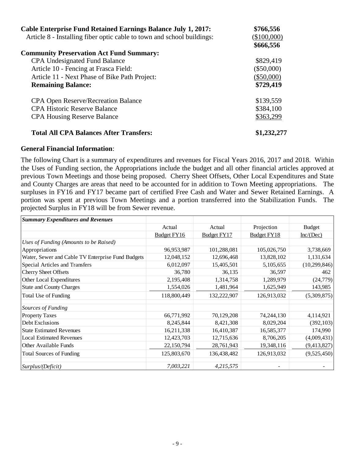| <b>Cable Enterprise Fund Retained Earnings Balance July 1, 2017:</b><br>Article 8 - Installing fiber optic cable to town and school buildings: | \$766,556<br>$(\$100,000)$ |
|------------------------------------------------------------------------------------------------------------------------------------------------|----------------------------|
|                                                                                                                                                | \$666,556                  |
| <b>Community Preservation Act Fund Summary:</b>                                                                                                |                            |
| <b>CPA Undesignated Fund Balance</b>                                                                                                           | \$829,419                  |
| Article 10 - Fencing at Frasca Field:                                                                                                          | $(\$50,000)$               |
| Article 11 - Next Phase of Bike Path Project:                                                                                                  | $(\$50,000)$               |
| <b>Remaining Balance:</b>                                                                                                                      | \$729,419                  |
| <b>CPA Open Reserve/Recreation Balance</b>                                                                                                     | \$139,559                  |
| <b>CPA Historic Reserve Balance</b>                                                                                                            | \$384,100                  |
| <b>CPA Housing Reserve Balance</b>                                                                                                             | \$363,299                  |
| <b>Total All CPA Balances After Transfers:</b>                                                                                                 | \$1,232,277                |

### **General Financial Information**:

The following Chart is a summary of expenditures and revenues for Fiscal Years 2016, 2017 and 2018. Within the Uses of Funding section, the Appropriations include the budget and all other financial articles approved at previous Town Meetings and those being proposed. Cherry Sheet Offsets, Other Local Expenditures and State and County Charges are areas that need to be accounted for in addition to Town Meeting appropriations. The surpluses in FY16 and FY17 became part of certified Free Cash and Water and Sewer Retained Earnings. A portion was spent at previous Town Meetings and a portion transferred into the Stabilization Funds. The projected Surplus in FY18 will be from Sewer revenue.

| <b>Summary Expenditures and Revenues</b>          |             |             |             |                |
|---------------------------------------------------|-------------|-------------|-------------|----------------|
|                                                   | Actual      | Actual      | Projection  | <b>Budget</b>  |
|                                                   | Budget FY16 | Budget FY17 | Budget FY18 | Inc/(Dec)      |
| Uses of Funding (Amounts to be Raised)            |             |             |             |                |
| Appropriations                                    | 96,953,987  | 101,288,081 | 105,026,750 | 3,738,669      |
| Water, Sewer and Cable TV Enterprise Fund Budgets | 12,048,152  | 12,696,468  | 13,828,102  | 1,131,634      |
| Special Articles and Transfers                    | 6,012,097   | 15,405,501  | 5,105,655   | (10, 299, 846) |
| <b>Cherry Sheet Offsets</b>                       | 36,780      | 36,135      | 36,597      | 462            |
| Other Local Expenditures                          | 2,195,408   | 1,314,758   | 1,289,979   | (24, 779)      |
| <b>State and County Charges</b>                   | 1,554,026   | 1,481,964   | 1,625,949   | 143,985        |
| Total Use of Funding                              | 118,800,449 | 132,222,907 | 126,913,032 | (5,309,875)    |
| Sources of Funding                                |             |             |             |                |
| <b>Property Taxes</b>                             | 66,771,992  | 70,129,208  | 74,244,130  | 4,114,921      |
| Debt Exclusions                                   | 8,245,844   | 8,421,308   | 8,029,204   | (392, 103)     |
| <b>State Estimated Revenues</b>                   | 16,211,338  | 16,410,387  | 16,585,377  | 174,990        |
| <b>Local Estimated Revenues</b>                   | 12,423,703  | 12,715,636  | 8,706,205   | (4,009,431)    |
| Other Available Funds                             | 22,150,794  | 28,761,943  | 19,348,116  | (9,413,827)    |
| <b>Total Sources of Funding</b>                   | 125,803,670 | 136,438,482 | 126,913,032 | (9,525,450)    |
| Surplus/(Deficit)                                 | 7,003,221   | 4,215,575   |             |                |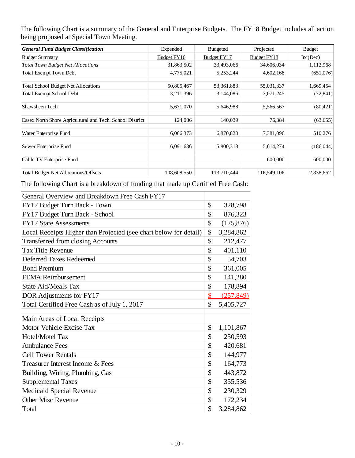The following Chart is a summary of the General and Enterprise Budgets. The FY18 Budget includes all action being proposed at Special Town Meeting.

| <b>General Fund Budget Classification</b>                | Expended                 | <b>Budgeted</b>          | Projected          | <b>Budget</b> |
|----------------------------------------------------------|--------------------------|--------------------------|--------------------|---------------|
| <b>Budget Summary</b>                                    | Budget FY16              | Budget FY17              | <b>Budget FY18</b> | Inc(Dec)      |
| <b>Total Town Budget Net Allocations</b>                 | 31,863,502               | 33,493,066               | 34,606,034         | 1,112,968     |
| <b>Total Exempt Town Debt</b>                            | 4,775,021                | 5,253,244                | 4,602,168          | (651,076)     |
| <b>Total School Budget Net Allocations</b>               | 50,805,467               | 53, 361, 883             | 55,031,337         | 1,669,454     |
| <b>Total Exempt School Debt</b>                          | 3,211,396                | 3,144,086                | 3,071,245          | (72, 841)     |
| Shawsheen Tech                                           | 5,671,070                | 5,646,988                | 5,566,567          | (80, 421)     |
| Essex North Shore Agricultural and Tech. School District | 124,086                  | 140,039                  | 76,384             | (63, 655)     |
| Water Enterprise Fund                                    | 6,066,373                | 6,870,820                | 7,381,096          | 510,276       |
| Sewer Enterprise Fund                                    | 6,091,636                | 5,800,318                | 5,614,274          | (186, 044)    |
| Cable TV Enterprise Fund                                 | $\overline{\phantom{a}}$ | $\overline{\phantom{a}}$ | 600,000            | 600,000       |
| <b>Total Budget Net Allocations/Offsets</b>              | 108,608,550              | 113,710,444              | 116,549,106        | 2,838,662     |

The following Chart is a breakdown of funding that made up Certified Free Cash:

| General Overview and Breakdown Free Cash FY17                     |                         |            |
|-------------------------------------------------------------------|-------------------------|------------|
| FY17 Budget Turn Back - Town                                      | \$                      | 328,798    |
| FY17 Budget Turn Back - School                                    | \$                      | 876,323    |
| <b>FY17 State Assessments</b>                                     | \$                      | (175, 876) |
| Local Receipts Higher than Projected (see chart below for detail) | \$                      | 3,284,862  |
| <b>Transferred from closing Accounts</b>                          | \$                      | 212,477    |
| <b>Tax Title Revenue</b>                                          | \$                      | 401,110    |
| Deferred Taxes Redeemed                                           | \$                      | 54,703     |
| <b>Bond Premium</b>                                               | \$                      | 361,005    |
| <b>FEMA Reimbursement</b>                                         | \$                      | 141,280    |
| <b>State Aid/Meals Tax</b>                                        | \$                      | 178,894    |
| DOR Adjustments for FY17                                          | $\overline{\mathbb{S}}$ | (257, 849) |
| Total Certified Free Cash as of July 1, 2017                      | \$                      | 5,405,727  |
| Main Areas of Local Receipts                                      |                         |            |
| Motor Vehicle Excise Tax                                          | \$                      | 1,101,867  |
| Hotel/Motel Tax                                                   | \$                      | 250,593    |
| <b>Ambulance Fees</b>                                             | \$                      | 420,681    |
| <b>Cell Tower Rentals</b>                                         | \$                      | 144,977    |
| Treasurer Interest Income & Fees                                  | \$                      | 164,773    |
| Building, Wiring, Plumbing, Gas                                   | \$                      | 443,872    |
| <b>Supplemental Taxes</b>                                         | \$                      | 355,536    |
| Medicaid Special Revenue                                          | \$                      | 230,329    |
| <b>Other Misc Revenue</b>                                         | \$                      | 172,234    |
| Total                                                             | \$                      | 3,284,862  |